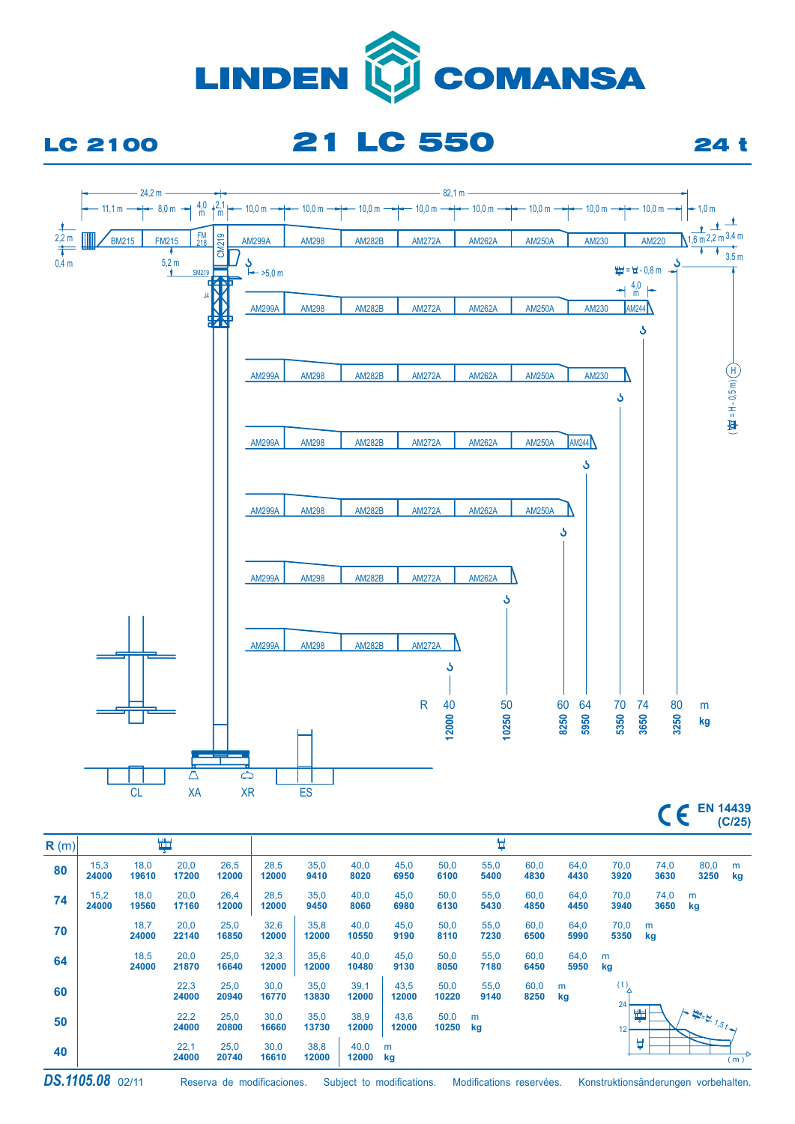

## LC 2100 21 LC 550 24 t



**EN 14439 (C/25)**

| R(m) |               | 为             |               |               |               | Å             |               |               |               |              |              |              |              |              |                                       |         |  |
|------|---------------|---------------|---------------|---------------|---------------|---------------|---------------|---------------|---------------|--------------|--------------|--------------|--------------|--------------|---------------------------------------|---------|--|
| 80   | 15,3<br>24000 | 18,0<br>19610 | 20,0<br>17200 | 26,5<br>12000 | 28,5<br>12000 | 35,0<br>9410  | 40,0<br>8020  | 45,0<br>6950  | 50,0<br>6100  | 55,0<br>5400 | 60,0<br>4830 | 64,0<br>4430 | 70,0<br>3920 | 74,0<br>3630 | 80,0<br>3250                          | m<br>kg |  |
| 74   | 15,2<br>24000 | 18,0<br>19560 | 20,0<br>17160 | 26,4<br>12000 | 28,5<br>12000 | 35,0<br>9450  | 40,0<br>8060  | 45,0<br>6980  | 50,0<br>6130  | 55,0<br>5430 | 60,0<br>4850 | 64,0<br>4450 | 70,0<br>3940 | 74,0<br>3650 | m<br>kg                               |         |  |
| 70   |               | 18,7<br>24000 | 20,0<br>22140 | 25,0<br>16850 | 32,6<br>12000 | 35,8<br>12000 | 40,0<br>10550 | 45,0<br>9190  | 50,0<br>8110  | 55,0<br>7230 | 60,0<br>6500 | 64,0<br>5990 | 70,0<br>5350 | m<br>kg      |                                       |         |  |
| 64   |               | 18,5<br>24000 | 20,0<br>21870 | 25,0<br>16640 | 32,3<br>12000 | 35,6<br>12000 | 40,0<br>10480 | 45,0<br>9130  | 50,0<br>8050  | 55,0<br>7180 | 60,0<br>6450 | 64,0<br>5950 | m<br>kg      |              |                                       |         |  |
| 60   |               |               | 22,3<br>24000 | 25,0<br>20940 | 30,0<br>16770 | 35,0<br>13830 | 39,1<br>12000 | 43,5<br>12000 | 50,0<br>10220 | 55,0<br>9140 | 60,0<br>8250 | m<br>kg      | (t)<br>24    |              |                                       |         |  |
| 50   |               |               | 22,2<br>24000 | 25,0<br>20800 | 30,0<br>16660 | 35,0<br>13730 | 38,9<br>12000 | 43,6<br>12000 | 50,0<br>10250 | m<br>kg      |              |              | 12           | 單            | $\mu_{\text{max}}$ $\mu_{\text{max}}$ |         |  |
| 40   |               |               | 22,1<br>24000 | 25,0<br>20740 | 30,0<br>16610 | 38,8<br>12000 | 40,0<br>12000 | m<br>kg       |               |              |              |              |              | Ų            |                                       | (m)     |  |

Reserva de modificaciones. Subject to modifications. Modifications reservées. Konstruktionsänderungen vorbehalten.